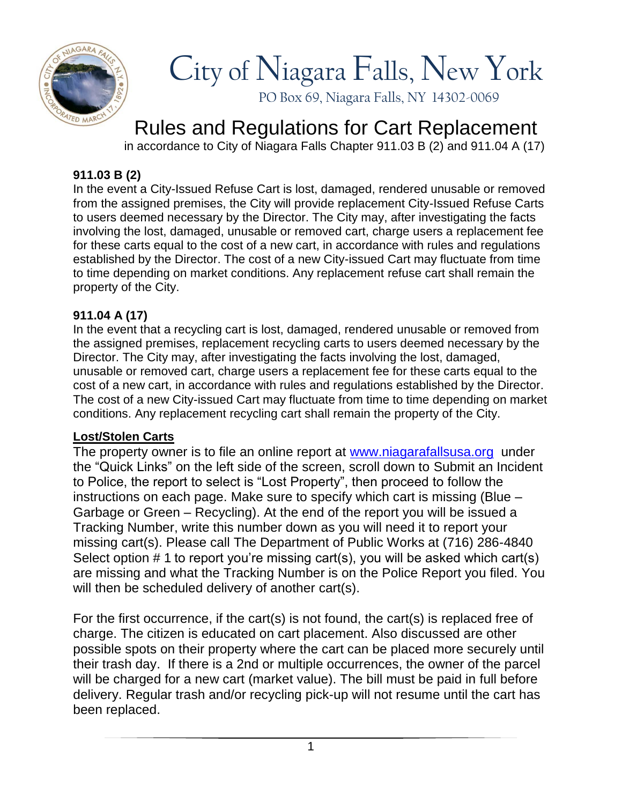

# City of Niagara Falls, New York

PO Box 69, Niagara Falls, NY 14302-0069

# Rules and Regulations for Cart Replacement

in accordance to City of Niagara Falls Chapter 911.03 B (2) and 911.04 A (17)

## **911.03 B (2)**

In the event a City-Issued Refuse Cart is lost, damaged, rendered unusable or removed from the assigned premises, the City will provide replacement City-Issued Refuse Carts to users deemed necessary by the Director. The City may, after investigating the facts involving the lost, damaged, unusable or removed cart, charge users a replacement fee for these carts equal to the cost of a new cart, in accordance with rules and regulations established by the Director. The cost of a new City-issued Cart may fluctuate from time to time depending on market conditions. Any replacement refuse cart shall remain the property of the City.

### **911.04 A (17)**

In the event that a recycling cart is lost, damaged, rendered unusable or removed from the assigned premises, replacement recycling carts to users deemed necessary by the Director. The City may, after investigating the facts involving the lost, damaged, unusable or removed cart, charge users a replacement fee for these carts equal to the cost of a new cart, in accordance with rules and regulations established by the Director. The cost of a new City-issued Cart may fluctuate from time to time depending on market conditions. Any replacement recycling cart shall remain the property of the City.

#### **Lost/Stolen Carts**

The property owner is to file an online report at [www.niagarafallsusa.org](http://www.niagarafallsusa.org/) under the "Quick Links" on the left side of the screen, scroll down to Submit an Incident to Police, the report to select is "Lost Property", then proceed to follow the instructions on each page. Make sure to specify which cart is missing (Blue – Garbage or Green – Recycling). At the end of the report you will be issued a Tracking Number, write this number down as you will need it to report your missing cart(s). Please call The Department of Public Works at (716) 286-4840 Select option # 1 to report you're missing cart(s), you will be asked which cart(s) are missing and what the Tracking Number is on the Police Report you filed. You will then be scheduled delivery of another cart(s).

For the first occurrence, if the cart(s) is not found, the cart(s) is replaced free of charge. The citizen is educated on cart placement. Also discussed are other possible spots on their property where the cart can be placed more securely until their trash day. If there is a 2nd or multiple occurrences, the owner of the parcel will be charged for a new cart (market value). The bill must be paid in full before delivery. Regular trash and/or recycling pick-up will not resume until the cart has been replaced.